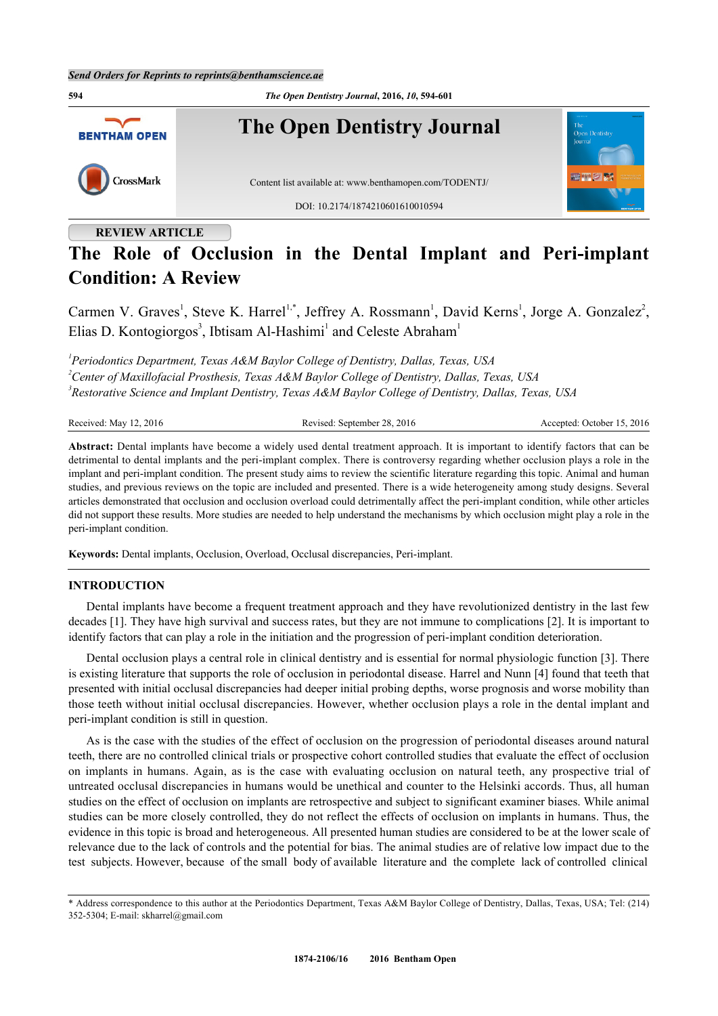

## **REVIEW ARTICLE**

# **The Role of Occlusion in the Dental Implant and Peri-implant Condition: A Review**

Carmen V. Graves<sup>[1](#page-0-0)</sup>, Steve K. Harrel<sup>1[,\\*](#page-0-1)</sup>, Jeffrey A. Rossmann<sup>1</sup>, David Kerns<sup>1</sup>, Jorge A. Gonzalez<sup>[2](#page-0-2)</sup>, Elias D. Kontogiorgos<sup>[3](#page-0-3)</sup>, Ibtisam Al-Hashimi<sup>[1](#page-0-0)</sup> and Celeste Abraham<sup>1</sup>

<span id="page-0-3"></span><span id="page-0-2"></span><span id="page-0-0"></span>*1 Periodontics Department, Texas A&M Baylor College of Dentistry, Dallas, Texas, USA <sup>2</sup>Center of Maxillofacial Prosthesis, Texas A&M Baylor College of Dentistry, Dallas, Texas, USA 3 Restorative Science and Implant Dentistry, Texas A&M Baylor College of Dentistry, Dallas, Texas, USA*

| Received: May 12, 2016 | Revised: September 28, 2016 | Accepted: October 15, 2016 |
|------------------------|-----------------------------|----------------------------|
|                        |                             |                            |

**Abstract:** Dental implants have become a widely used dental treatment approach. It is important to identify factors that can be detrimental to dental implants and the peri-implant complex. There is controversy regarding whether occlusion plays a role in the implant and peri-implant condition. The present study aims to review the scientific literature regarding this topic. Animal and human studies, and previous reviews on the topic are included and presented. There is a wide heterogeneity among study designs. Several articles demonstrated that occlusion and occlusion overload could detrimentally affect the peri-implant condition, while other articles did not support these results. More studies are needed to help understand the mechanisms by which occlusion might play a role in the peri-implant condition.

**Keywords:** Dental implants, Occlusion, Overload, Occlusal discrepancies, Peri-implant.

#### **INTRODUCTION**

Dental implants have become a frequent treatment approach and they have revolutionized dentistry in the last few decades [[1\]](#page-6-0). They have high survival and success rates, but they are not immune to complications [\[2](#page-6-1)]. It is important to identify factors that can play a role in the initiation and the progression of peri-implant condition deterioration.

Dental occlusion plays a central role in clinical dentistry and is essential for normal physiologic function [[3\]](#page-6-2). There is existing literature that supports the role of occlusion in periodontal disease. Harrel and Nunn [\[4](#page-6-3)] found that teeth that presented with initial occlusal discrepancies had deeper initial probing depths, worse prognosis and worse mobility than those teeth without initial occlusal discrepancies. However, whether occlusion plays a role in the dental implant and peri-implant condition is still in question.

As is the case with the studies of the effect of occlusion on the progression of periodontal diseases around natural teeth, there are no controlled clinical trials or prospective cohort controlled studies that evaluate the effect of occlusion on implants in humans. Again, as is the case with evaluating occlusion on natural teeth, any prospective trial of untreated occlusal discrepancies in humans would be unethical and counter to the Helsinki accords. Thus, all human studies on the effect of occlusion on implants are retrospective and subject to significant examiner biases. While animal studies can be more closely controlled, they do not reflect the effects of occlusion on implants in humans. Thus, the evidence in this topic is broad and heterogeneous. All presented human studies are considered to be at the lower scale of relevance due to the lack of controls and the potential for bias. The animal studies are of relative low impact due to the test subjects. However, because of the small body of available literature and the complete lack of controlled clinical

<span id="page-0-1"></span><sup>\*</sup> Address correspondence to this author at the Periodontics Department, Texas A&M Baylor College of Dentistry, Dallas, Texas, USA; Tel: (214) 352-5304; E-mail: [skharrel@gmail.com](mailto:skharrel@gmail.com)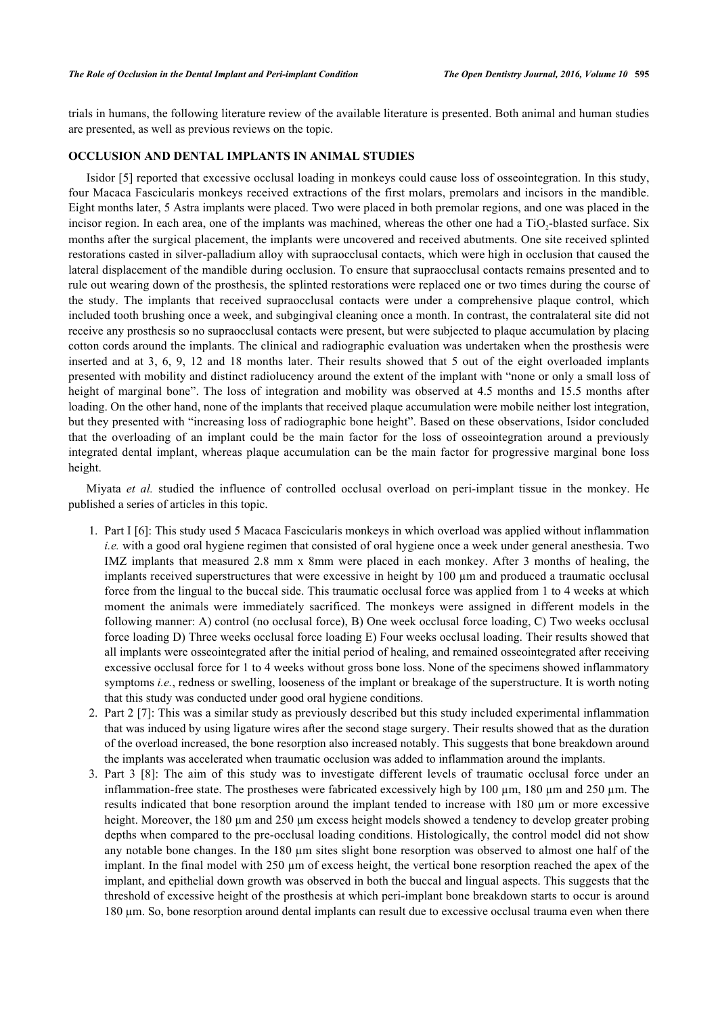trials in humans, the following literature review of the available literature is presented. Both animal and human studies are presented, as well as previous reviews on the topic.

## **OCCLUSION AND DENTAL IMPLANTS IN ANIMAL STUDIES**

Isidor [[5\]](#page-6-4) reported that excessive occlusal loading in monkeys could cause loss of osseointegration. In this study, four Macaca Fascicularis monkeys received extractions of the first molars, premolars and incisors in the mandible. Eight months later, 5 Astra implants were placed. Two were placed in both premolar regions, and one was placed in the incisor region. In each area, one of the implants was machined, whereas the other one had a  $TiO_2$ -blasted surface. Six months after the surgical placement, the implants were uncovered and received abutments. One site received splinted restorations casted in silver-palladium alloy with supraocclusal contacts, which were high in occlusion that caused the lateral displacement of the mandible during occlusion. To ensure that supraocclusal contacts remains presented and to rule out wearing down of the prosthesis, the splinted restorations were replaced one or two times during the course of the study. The implants that received supraocclusal contacts were under a comprehensive plaque control, which included tooth brushing once a week, and subgingival cleaning once a month. In contrast, the contralateral site did not receive any prosthesis so no supraocclusal contacts were present, but were subjected to plaque accumulation by placing cotton cords around the implants. The clinical and radiographic evaluation was undertaken when the prosthesis were inserted and at 3, 6, 9, 12 and 18 months later. Their results showed that 5 out of the eight overloaded implants presented with mobility and distinct radiolucency around the extent of the implant with "none or only a small loss of height of marginal bone". The loss of integration and mobility was observed at 4.5 months and 15.5 months after loading. On the other hand, none of the implants that received plaque accumulation were mobile neither lost integration, but they presented with "increasing loss of radiographic bone height". Based on these observations, Isidor concluded that the overloading of an implant could be the main factor for the loss of osseointegration around a previously integrated dental implant, whereas plaque accumulation can be the main factor for progressive marginal bone loss height.

Miyata *et al.* studied the influence of controlled occlusal overload on peri-implant tissue in the monkey. He published a series of articles in this topic.

- 1. Part I [[6\]](#page-6-5): This study used 5 Macaca Fascicularis monkeys in which overload was applied without inflammation *i.e.* with a good oral hygiene regimen that consisted of oral hygiene once a week under general anesthesia. Two IMZ implants that measured 2.8 mm x 8mm were placed in each monkey. After 3 months of healing, the implants received superstructures that were excessive in height by 100 µm and produced a traumatic occlusal force from the lingual to the buccal side. This traumatic occlusal force was applied from 1 to 4 weeks at which moment the animals were immediately sacrificed. The monkeys were assigned in different models in the following manner: A) control (no occlusal force), B) One week occlusal force loading, C) Two weeks occlusal force loading D) Three weeks occlusal force loading E) Four weeks occlusal loading. Their results showed that all implants were osseointegrated after the initial period of healing, and remained osseointegrated after receiving excessive occlusal force for 1 to 4 weeks without gross bone loss. None of the specimens showed inflammatory symptoms *i.e.*, redness or swelling, looseness of the implant or breakage of the superstructure. It is worth noting that this study was conducted under good oral hygiene conditions.
- 2. Part 2 [\[7](#page-6-6)]: This was a similar study as previously described but this study included experimental inflammation that was induced by using ligature wires after the second stage surgery. Their results showed that as the duration of the overload increased, the bone resorption also increased notably. This suggests that bone breakdown around the implants was accelerated when traumatic occlusion was added to inflammation around the implants.
- 3. Part 3 [\[8](#page-6-7)]: The aim of this study was to investigate different levels of traumatic occlusal force under an inflammation-free state. The prostheses were fabricated excessively high by 100 µm, 180 µm and 250 µm. The results indicated that bone resorption around the implant tended to increase with 180 µm or more excessive height. Moreover, the 180 µm and 250 µm excess height models showed a tendency to develop greater probing depths when compared to the pre-occlusal loading conditions. Histologically, the control model did not show any notable bone changes. In the 180 µm sites slight bone resorption was observed to almost one half of the implant. In the final model with  $250 \mu m$  of excess height, the vertical bone resorption reached the apex of the implant, and epithelial down growth was observed in both the buccal and lingual aspects. This suggests that the threshold of excessive height of the prosthesis at which peri-implant bone breakdown starts to occur is around 180 µm. So, bone resorption around dental implants can result due to excessive occlusal trauma even when there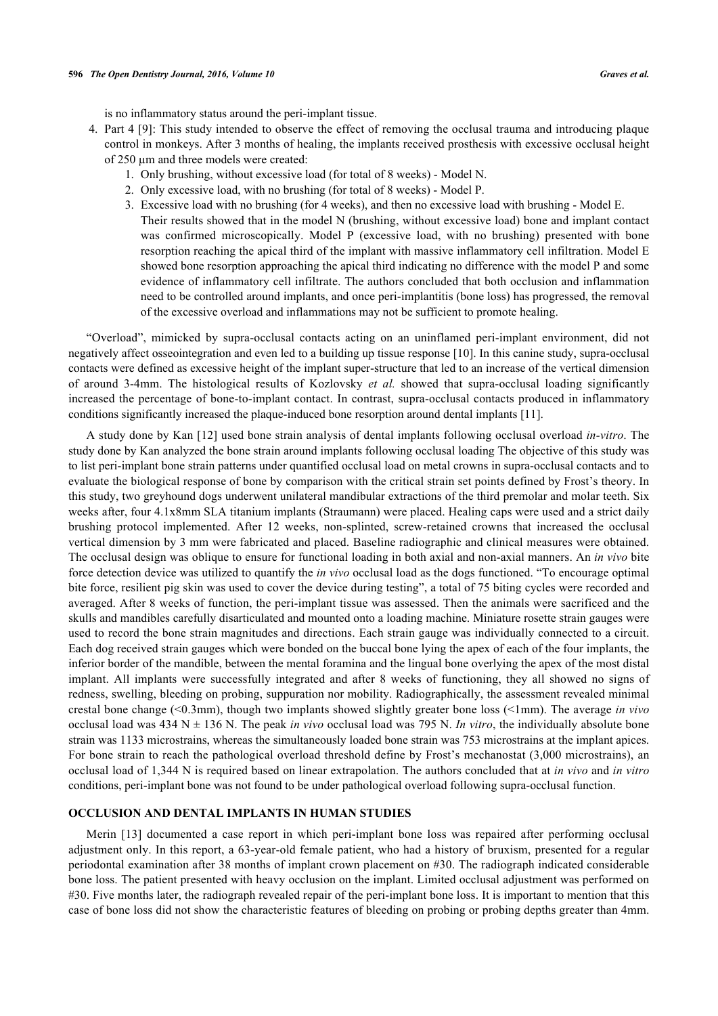#### **596** *The Open Dentistry Journal, 2016, Volume 10 Graves et al.*

is no inflammatory status around the peri-implant tissue.

- 4. Part 4 [[9](#page-6-8)]: This study intended to observe the effect of removing the occlusal trauma and introducing plaque control in monkeys. After 3 months of healing, the implants received prosthesis with excessive occlusal height of 250 µm and three models were created:
	- 1. Only brushing, without excessive load (for total of 8 weeks) Model N.
	- 2. Only excessive load, with no brushing (for total of 8 weeks) Model P.
	- 3. Excessive load with no brushing (for 4 weeks), and then no excessive load with brushing Model E. Their results showed that in the model N (brushing, without excessive load) bone and implant contact was confirmed microscopically. Model P (excessive load, with no brushing) presented with bone resorption reaching the apical third of the implant with massive inflammatory cell infiltration. Model E showed bone resorption approaching the apical third indicating no difference with the model P and some evidence of inflammatory cell infiltrate. The authors concluded that both occlusion and inflammation need to be controlled around implants, and once peri-implantitis (bone loss) has progressed, the removal of the excessive overload and inflammations may not be sufficient to promote healing.

"Overload", mimicked by supra-occlusal contacts acting on an uninflamed peri-implant environment, did not negatively affect osseointegration and even led to a building up tissue response [\[10](#page-6-9)]. In this canine study, supra-occlusal contacts were defined as excessive height of the implant super-structure that led to an increase of the vertical dimension of around 3-4mm. The histological results of Kozlovsky *et al.* showed that supra-occlusal loading significantly increased the percentage of bone-to-implant contact. In contrast, supra-occlusal contacts produced in inflammatory conditions significantly increased the plaque-induced bone resorption around dental implants [[11\]](#page-6-10).

A study done by Kan [[12](#page-6-11)] used bone strain analysis of dental implants following occlusal overload *in-vitro*. The study done by Kan analyzed the bone strain around implants following occlusal loading The objective of this study was to list peri-implant bone strain patterns under quantified occlusal load on metal crowns in supra-occlusal contacts and to evaluate the biological response of bone by comparison with the critical strain set points defined by Frost's theory. In this study, two greyhound dogs underwent unilateral mandibular extractions of the third premolar and molar teeth. Six weeks after, four 4.1x8mm SLA titanium implants (Straumann) were placed. Healing caps were used and a strict daily brushing protocol implemented. After 12 weeks, non-splinted, screw-retained crowns that increased the occlusal vertical dimension by 3 mm were fabricated and placed. Baseline radiographic and clinical measures were obtained. The occlusal design was oblique to ensure for functional loading in both axial and non-axial manners. An *in vivo* bite force detection device was utilized to quantify the *in vivo* occlusal load as the dogs functioned. "To encourage optimal bite force, resilient pig skin was used to cover the device during testing", a total of 75 biting cycles were recorded and averaged. After 8 weeks of function, the peri-implant tissue was assessed. Then the animals were sacrificed and the skulls and mandibles carefully disarticulated and mounted onto a loading machine. Miniature rosette strain gauges were used to record the bone strain magnitudes and directions. Each strain gauge was individually connected to a circuit. Each dog received strain gauges which were bonded on the buccal bone lying the apex of each of the four implants, the inferior border of the mandible, between the mental foramina and the lingual bone overlying the apex of the most distal implant. All implants were successfully integrated and after 8 weeks of functioning, they all showed no signs of redness, swelling, bleeding on probing, suppuration nor mobility. Radiographically, the assessment revealed minimal crestal bone change (<0.3mm), though two implants showed slightly greater bone loss (<1mm). The average *in vivo* occlusal load was  $434$  N  $\pm$  136 N. The peak *in vivo* occlusal load was 795 N. *In vitro*, the individually absolute bone strain was 1133 microstrains, whereas the simultaneously loaded bone strain was 753 microstrains at the implant apices. For bone strain to reach the pathological overload threshold define by Frost's mechanostat (3,000 microstrains), an occlusal load of 1,344 N is required based on linear extrapolation. The authors concluded that at *in vivo* and *in vitro* conditions, peri-implant bone was not found to be under pathological overload following supra-occlusal function.

## **OCCLUSION AND DENTAL IMPLANTS IN HUMAN STUDIES**

Merin [\[13](#page-6-12)] documented a case report in which peri-implant bone loss was repaired after performing occlusal adjustment only. In this report, a 63-year-old female patient, who had a history of bruxism, presented for a regular periodontal examination after 38 months of implant crown placement on #30. The radiograph indicated considerable bone loss. The patient presented with heavy occlusion on the implant. Limited occlusal adjustment was performed on #30. Five months later, the radiograph revealed repair of the peri-implant bone loss. It is important to mention that this case of bone loss did not show the characteristic features of bleeding on probing or probing depths greater than 4mm.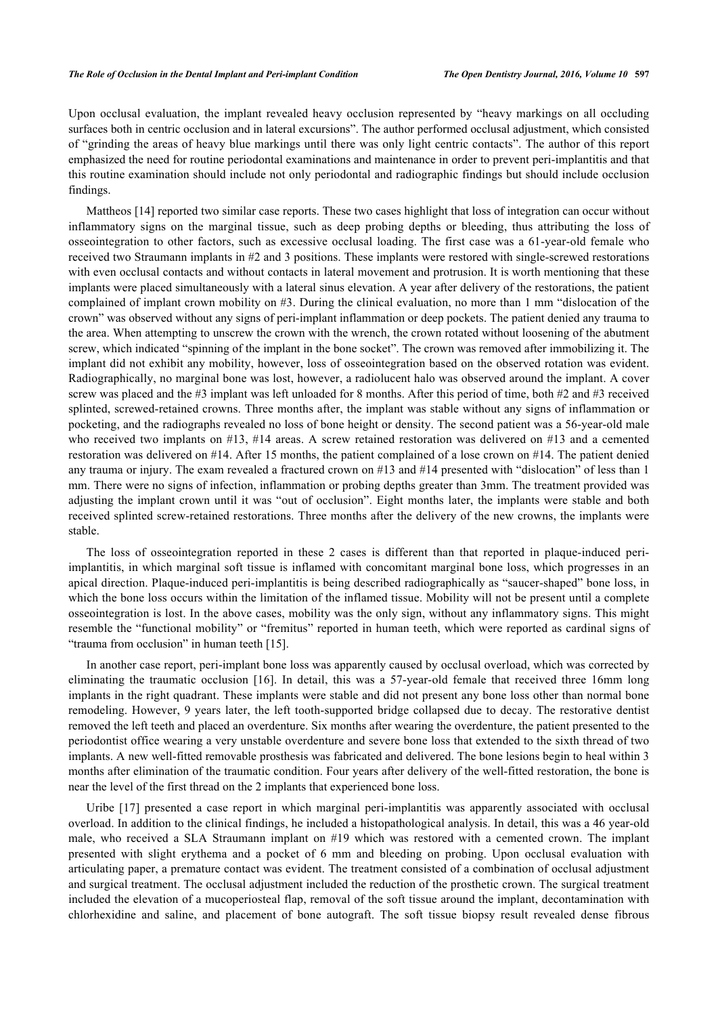Upon occlusal evaluation, the implant revealed heavy occlusion represented by "heavy markings on all occluding surfaces both in centric occlusion and in lateral excursions". The author performed occlusal adjustment, which consisted of "grinding the areas of heavy blue markings until there was only light centric contacts". The author of this report emphasized the need for routine periodontal examinations and maintenance in order to prevent peri-implantitis and that this routine examination should include not only periodontal and radiographic findings but should include occlusion findings.

Mattheos [[14\]](#page-6-13) reported two similar case reports. These two cases highlight that loss of integration can occur without inflammatory signs on the marginal tissue, such as deep probing depths or bleeding, thus attributing the loss of osseointegration to other factors, such as excessive occlusal loading. The first case was a 61-year-old female who received two Straumann implants in #2 and 3 positions. These implants were restored with single-screwed restorations with even occlusal contacts and without contacts in lateral movement and protrusion. It is worth mentioning that these implants were placed simultaneously with a lateral sinus elevation. A year after delivery of the restorations, the patient complained of implant crown mobility on #3. During the clinical evaluation, no more than 1 mm "dislocation of the crown" was observed without any signs of peri-implant inflammation or deep pockets. The patient denied any trauma to the area. When attempting to unscrew the crown with the wrench, the crown rotated without loosening of the abutment screw, which indicated "spinning of the implant in the bone socket". The crown was removed after immobilizing it. The implant did not exhibit any mobility, however, loss of osseointegration based on the observed rotation was evident. Radiographically, no marginal bone was lost, however, a radiolucent halo was observed around the implant. A cover screw was placed and the #3 implant was left unloaded for 8 months. After this period of time, both #2 and #3 received splinted, screwed-retained crowns. Three months after, the implant was stable without any signs of inflammation or pocketing, and the radiographs revealed no loss of bone height or density. The second patient was a 56-year-old male who received two implants on #13, #14 areas. A screw retained restoration was delivered on #13 and a cemented restoration was delivered on #14. After 15 months, the patient complained of a lose crown on #14. The patient denied any trauma or injury. The exam revealed a fractured crown on #13 and #14 presented with "dislocation" of less than 1 mm. There were no signs of infection, inflammation or probing depths greater than 3mm. The treatment provided was adjusting the implant crown until it was "out of occlusion". Eight months later, the implants were stable and both received splinted screw-retained restorations. Three months after the delivery of the new crowns, the implants were stable.

The loss of osseointegration reported in these 2 cases is different than that reported in plaque-induced periimplantitis, in which marginal soft tissue is inflamed with concomitant marginal bone loss, which progresses in an apical direction. Plaque-induced peri-implantitis is being described radiographically as "saucer-shaped" bone loss, in which the bone loss occurs within the limitation of the inflamed tissue. Mobility will not be present until a complete osseointegration is lost. In the above cases, mobility was the only sign, without any inflammatory signs. This might resemble the "functional mobility" or "fremitus" reported in human teeth, which were reported as cardinal signs of "trauma from occlusion" in human teeth [[15\]](#page-6-14).

In another case report, peri-implant bone loss was apparently caused by occlusal overload, which was corrected by eliminating the traumatic occlusion[[16\]](#page-6-15). In detail, this was a 57-year-old female that received three 16mm long implants in the right quadrant. These implants were stable and did not present any bone loss other than normal bone remodeling. However, 9 years later, the left tooth-supported bridge collapsed due to decay. The restorative dentist removed the left teeth and placed an overdenture. Six months after wearing the overdenture, the patient presented to the periodontist office wearing a very unstable overdenture and severe bone loss that extended to the sixth thread of two implants. A new well-fitted removable prosthesis was fabricated and delivered. The bone lesions begin to heal within 3 months after elimination of the traumatic condition. Four years after delivery of the well-fitted restoration, the bone is near the level of the first thread on the 2 implants that experienced bone loss.

Uribe [\[17\]](#page-7-0) presented a case report in which marginal peri-implantitis was apparently associated with occlusal overload. In addition to the clinical findings, he included a histopathological analysis. In detail, this was a 46 year-old male, who received a SLA Straumann implant on #19 which was restored with a cemented crown. The implant presented with slight erythema and a pocket of 6 mm and bleeding on probing. Upon occlusal evaluation with articulating paper, a premature contact was evident. The treatment consisted of a combination of occlusal adjustment and surgical treatment. The occlusal adjustment included the reduction of the prosthetic crown. The surgical treatment included the elevation of a mucoperiosteal flap, removal of the soft tissue around the implant, decontamination with chlorhexidine and saline, and placement of bone autograft. The soft tissue biopsy result revealed dense fibrous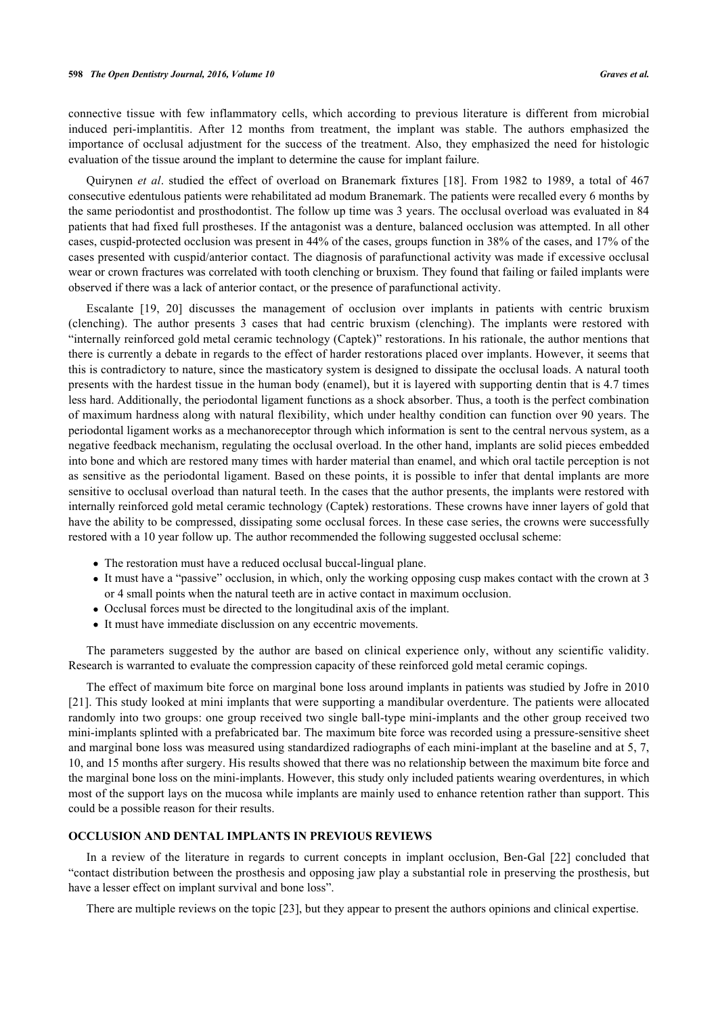connective tissue with few inflammatory cells, which according to previous literature is different from microbial induced peri-implantitis. After 12 months from treatment, the implant was stable. The authors emphasized the importance of occlusal adjustment for the success of the treatment. Also, they emphasized the need for histologic evaluation of the tissue around the implant to determine the cause for implant failure.

Quirynen *et al*. studied the effect of overload on Branemark fixtures [\[18](#page-7-1)]. From 1982 to 1989, a total of 467 consecutive edentulous patients were rehabilitated ad modum Branemark. The patients were recalled every 6 months by the same periodontist and prosthodontist. The follow up time was 3 years. The occlusal overload was evaluated in 84 patients that had fixed full prostheses. If the antagonist was a denture, balanced occlusion was attempted. In all other cases, cuspid-protected occlusion was present in 44% of the cases, groups function in 38% of the cases, and 17% of the cases presented with cuspid/anterior contact. The diagnosis of parafunctional activity was made if excessive occlusal wear or crown fractures was correlated with tooth clenching or bruxism. They found that failing or failed implants were observed if there was a lack of anterior contact, or the presence of parafunctional activity.

Escalante[[19,](#page-7-2) [20\]](#page-7-3) discusses the management of occlusion over implants in patients with centric bruxism (clenching). The author presents 3 cases that had centric bruxism (clenching). The implants were restored with "internally reinforced gold metal ceramic technology (Captek)" restorations. In his rationale, the author mentions that there is currently a debate in regards to the effect of harder restorations placed over implants. However, it seems that this is contradictory to nature, since the masticatory system is designed to dissipate the occlusal loads. A natural tooth presents with the hardest tissue in the human body (enamel), but it is layered with supporting dentin that is 4.7 times less hard. Additionally, the periodontal ligament functions as a shock absorber. Thus, a tooth is the perfect combination of maximum hardness along with natural flexibility, which under healthy condition can function over 90 years. The periodontal ligament works as a mechanoreceptor through which information is sent to the central nervous system, as a negative feedback mechanism, regulating the occlusal overload. In the other hand, implants are solid pieces embedded into bone and which are restored many times with harder material than enamel, and which oral tactile perception is not as sensitive as the periodontal ligament. Based on these points, it is possible to infer that dental implants are more sensitive to occlusal overload than natural teeth. In the cases that the author presents, the implants were restored with internally reinforced gold metal ceramic technology (Captek) restorations. These crowns have inner layers of gold that have the ability to be compressed, dissipating some occlusal forces. In these case series, the crowns were successfully restored with a 10 year follow up. The author recommended the following suggested occlusal scheme:

- The restoration must have a reduced occlusal buccal-lingual plane.
- It must have a "passive" occlusion, in which, only the working opposing cusp makes contact with the crown at 3 or 4 small points when the natural teeth are in active contact in maximum occlusion.
- Occlusal forces must be directed to the longitudinal axis of the implant.
- It must have immediate disclussion on any eccentric movements.

The parameters suggested by the author are based on clinical experience only, without any scientific validity. Research is warranted to evaluate the compression capacity of these reinforced gold metal ceramic copings.

The effect of maximum bite force on marginal bone loss around implants in patients was studied by Jofre in 2010 [\[21](#page-7-4)]. This study looked at mini implants that were supporting a mandibular overdenture. The patients were allocated randomly into two groups: one group received two single ball-type mini-implants and the other group received two mini-implants splinted with a prefabricated bar. The maximum bite force was recorded using a pressure-sensitive sheet and marginal bone loss was measured using standardized radiographs of each mini-implant at the baseline and at 5, 7, 10, and 15 months after surgery. His results showed that there was no relationship between the maximum bite force and the marginal bone loss on the mini-implants. However, this study only included patients wearing overdentures, in which most of the support lays on the mucosa while implants are mainly used to enhance retention rather than support. This could be a possible reason for their results.

## **OCCLUSION AND DENTAL IMPLANTS IN PREVIOUS REVIEWS**

In a review of the literature in regards to current concepts in implant occlusion, Ben-Gal[[22\]](#page-7-5) concluded that "contact distribution between the prosthesis and opposing jaw play a substantial role in preserving the prosthesis, but have a lesser effect on implant survival and bone loss".

There are multiple reviews on the topic [[23\]](#page-7-6), but they appear to present the authors opinions and clinical expertise.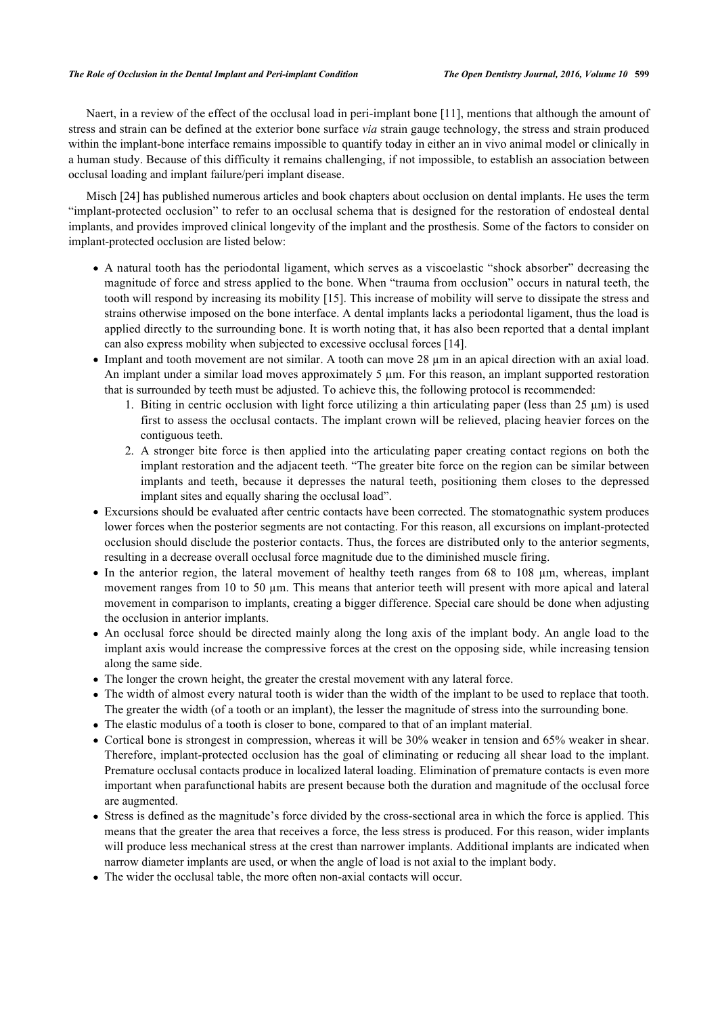#### *The Role of Occlusion in the Dental Implant and Peri-implant Condition The Open Dentistry Journal, 2016, Volume 10* **599**

Naert, in a review of the effect of the occlusal load in peri-implant bone [[11\]](#page-6-10), mentions that although the amount of stress and strain can be defined at the exterior bone surface *via* strain gauge technology, the stress and strain produced within the implant-bone interface remains impossible to quantify today in either an in vivo animal model or clinically in a human study. Because of this difficulty it remains challenging, if not impossible, to establish an association between occlusal loading and implant failure/peri implant disease.

Misch [[24\]](#page-7-7) has published numerous articles and book chapters about occlusion on dental implants. He uses the term "implant-protected occlusion" to refer to an occlusal schema that is designed for the restoration of endosteal dental implants, and provides improved clinical longevity of the implant and the prosthesis. Some of the factors to consider on implant-protected occlusion are listed below:

- A natural tooth has the periodontal ligament, which serves as a viscoelastic "shock absorber" decreasing the magnitude of force and stress applied to the bone. When "trauma from occlusion" occurs in natural teeth, the tooth will respond by increasing its mobility [[15\]](#page-6-14). This increase of mobility will serve to dissipate the stress and strains otherwise imposed on the bone interface. A dental implants lacks a periodontal ligament, thus the load is applied directly to the surrounding bone. It is worth noting that, it has also been reported that a dental implant can also express mobility when subjected to excessive occlusal forces [[14\]](#page-6-13).
- Implant and tooth movement are not similar. A tooth can move 28 µm in an apical direction with an axial load. An implant under a similar load moves approximately 5  $\mu$ m. For this reason, an implant supported restoration that is surrounded by teeth must be adjusted. To achieve this, the following protocol is recommended:
	- 1. Biting in centric occlusion with light force utilizing a thin articulating paper (less than  $25 \mu m$ ) is used first to assess the occlusal contacts. The implant crown will be relieved, placing heavier forces on the contiguous teeth.
	- 2. A stronger bite force is then applied into the articulating paper creating contact regions on both the implant restoration and the adjacent teeth. "The greater bite force on the region can be similar between implants and teeth, because it depresses the natural teeth, positioning them closes to the depressed implant sites and equally sharing the occlusal load".
- Excursions should be evaluated after centric contacts have been corrected. The stomatognathic system produces lower forces when the posterior segments are not contacting. For this reason, all excursions on implant-protected occlusion should disclude the posterior contacts. Thus, the forces are distributed only to the anterior segments, resulting in a decrease overall occlusal force magnitude due to the diminished muscle firing.
- In the anterior region, the lateral movement of healthy teeth ranges from 68 to 108  $\mu$ m, whereas, implant movement ranges from 10 to 50 µm. This means that anterior teeth will present with more apical and lateral movement in comparison to implants, creating a bigger difference. Special care should be done when adjusting the occlusion in anterior implants.
- An occlusal force should be directed mainly along the long axis of the implant body. An angle load to the implant axis would increase the compressive forces at the crest on the opposing side, while increasing tension along the same side.
- The longer the crown height, the greater the crestal movement with any lateral force.
- The width of almost every natural tooth is wider than the width of the implant to be used to replace that tooth. The greater the width (of a tooth or an implant), the lesser the magnitude of stress into the surrounding bone.
- The elastic modulus of a tooth is closer to bone, compared to that of an implant material.
- Cortical bone is strongest in compression, whereas it will be 30% weaker in tension and 65% weaker in shear. Therefore, implant-protected occlusion has the goal of eliminating or reducing all shear load to the implant. Premature occlusal contacts produce in localized lateral loading. Elimination of premature contacts is even more important when parafunctional habits are present because both the duration and magnitude of the occlusal force are augmented.
- Stress is defined as the magnitude's force divided by the cross-sectional area in which the force is applied. This means that the greater the area that receives a force, the less stress is produced. For this reason, wider implants will produce less mechanical stress at the crest than narrower implants. Additional implants are indicated when narrow diameter implants are used, or when the angle of load is not axial to the implant body.
- The wider the occlusal table, the more often non-axial contacts will occur.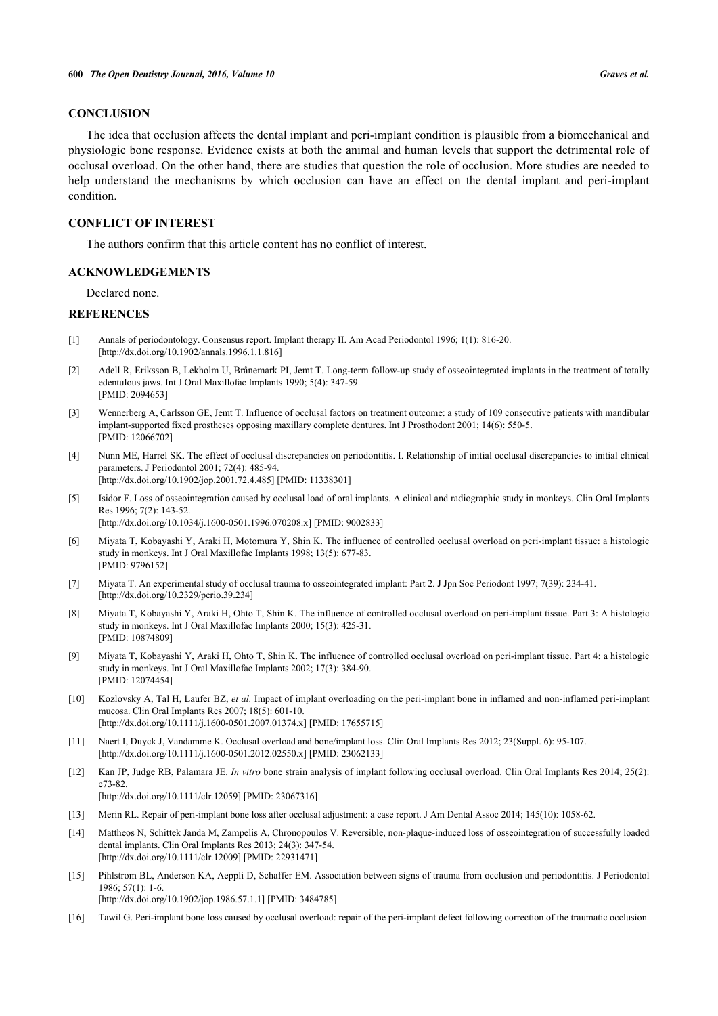## **CONCLUSION**

The idea that occlusion affects the dental implant and peri-implant condition is plausible from a biomechanical and physiologic bone response. Evidence exists at both the animal and human levels that support the detrimental role of occlusal overload. On the other hand, there are studies that question the role of occlusion. More studies are needed to help understand the mechanisms by which occlusion can have an effect on the dental implant and peri-implant condition.

### **CONFLICT OF INTEREST**

The authors confirm that this article content has no conflict of interest.

## **ACKNOWLEDGEMENTS**

#### Declared none.

## **REFERENCES**

- <span id="page-6-0"></span>[1] Annals of periodontology. Consensus report. Implant therapy II. Am Acad Periodontol 1996; 1(1): 816-20. [\[http://dx.doi.org/10.1902/annals.1996.1.1.816](http://dx.doi.org/10.1902/annals.1996.1.1.816)]
- <span id="page-6-1"></span>[2] Adell R, Eriksson B, Lekholm U, Brånemark PI, Jemt T. Long-term follow-up study of osseointegrated implants in the treatment of totally edentulous jaws. Int J Oral Maxillofac Implants 1990; 5(4): 347-59. [PMID: [2094653\]](http://www.ncbi.nlm.nih.gov/pubmed/2094653)
- <span id="page-6-2"></span>[3] Wennerberg A, Carlsson GE, Jemt T. Influence of occlusal factors on treatment outcome: a study of 109 consecutive patients with mandibular implant-supported fixed prostheses opposing maxillary complete dentures. Int J Prosthodont 2001; 14(6): 550-5. [PMID: [12066702\]](http://www.ncbi.nlm.nih.gov/pubmed/12066702)
- <span id="page-6-3"></span>[4] Nunn ME, Harrel SK. The effect of occlusal discrepancies on periodontitis. I. Relationship of initial occlusal discrepancies to initial clinical parameters. J Periodontol 2001; 72(4): 485-94. [\[http://dx.doi.org/10.1902/jop.2001.72.4.485](http://dx.doi.org/10.1902/jop.2001.72.4.485)] [PMID: [11338301\]](http://www.ncbi.nlm.nih.gov/pubmed/11338301)
- <span id="page-6-4"></span>[5] Isidor F. Loss of osseointegration caused by occlusal load of oral implants. A clinical and radiographic study in monkeys. Clin Oral Implants Res 1996; 7(2): 143-52. [\[http://dx.doi.org/10.1034/j.1600-0501.1996.070208.x\]](http://dx.doi.org/10.1034/j.1600-0501.1996.070208.x) [PMID: [9002833](http://www.ncbi.nlm.nih.gov/pubmed/9002833)]
- <span id="page-6-5"></span>[6] Miyata T, Kobayashi Y, Araki H, Motomura Y, Shin K. The influence of controlled occlusal overload on peri-implant tissue: a histologic study in monkeys. Int J Oral Maxillofac Implants 1998; 13(5): 677-83. [PMID: [9796152\]](http://www.ncbi.nlm.nih.gov/pubmed/9796152)
- <span id="page-6-6"></span>[7] Miyata T. An experimental study of occlusal trauma to osseointegrated implant: Part 2. J Jpn Soc Periodont 1997; 7(39): 234-41. [\[http://dx.doi.org/10.2329/perio.39.234](http://dx.doi.org/10.2329/perio.39.234)]
- <span id="page-6-7"></span>[8] Miyata T, Kobayashi Y, Araki H, Ohto T, Shin K. The influence of controlled occlusal overload on peri-implant tissue. Part 3: A histologic study in monkeys. Int J Oral Maxillofac Implants 2000; 15(3): 425-31. [PMID: [10874809\]](http://www.ncbi.nlm.nih.gov/pubmed/10874809)
- <span id="page-6-8"></span>[9] Miyata T, Kobayashi Y, Araki H, Ohto T, Shin K. The influence of controlled occlusal overload on peri-implant tissue. Part 4: a histologic study in monkeys. Int J Oral Maxillofac Implants 2002; 17(3): 384-90. [PMID: [12074454\]](http://www.ncbi.nlm.nih.gov/pubmed/12074454)
- <span id="page-6-9"></span>[10] Kozlovsky A, Tal H, Laufer BZ, *et al.* Impact of implant overloading on the peri-implant bone in inflamed and non-inflamed peri-implant mucosa. Clin Oral Implants Res 2007; 18(5): 601-10. [\[http://dx.doi.org/10.1111/j.1600-0501.2007.01374.x\]](http://dx.doi.org/10.1111/j.1600-0501.2007.01374.x) [PMID: [17655715](http://www.ncbi.nlm.nih.gov/pubmed/17655715)]
- <span id="page-6-10"></span>[11] Naert I, Duyck J, Vandamme K. Occlusal overload and bone/implant loss. Clin Oral Implants Res 2012; 23(Suppl. 6): 95-107. [\[http://dx.doi.org/10.1111/j.1600-0501.2012.02550.x\]](http://dx.doi.org/10.1111/j.1600-0501.2012.02550.x) [PMID: [23062133](http://www.ncbi.nlm.nih.gov/pubmed/23062133)]
- <span id="page-6-11"></span>[12] Kan JP, Judge RB, Palamara JE. *In vitro* bone strain analysis of implant following occlusal overload. Clin Oral Implants Res 2014; 25(2): e73-82. [\[http://dx.doi.org/10.1111/clr.12059](http://dx.doi.org/10.1111/clr.12059)] [PMID: [23067316\]](http://www.ncbi.nlm.nih.gov/pubmed/23067316)
- <span id="page-6-12"></span>[13] Merin RL. Repair of peri-implant bone loss after occlusal adjustment: a case report. J Am Dental Assoc 2014; 145(10): 1058-62.
- <span id="page-6-13"></span>[14] Mattheos N, Schittek Janda M, Zampelis A, Chronopoulos V. Reversible, non-plaque-induced loss of osseointegration of successfully loaded dental implants. Clin Oral Implants Res 2013; 24(3): 347-54. [\[http://dx.doi.org/10.1111/clr.12009](http://dx.doi.org/10.1111/clr.12009)] [PMID: [22931471\]](http://www.ncbi.nlm.nih.gov/pubmed/22931471)
- <span id="page-6-14"></span>[15] Pihlstrom BL, Anderson KA, Aeppli D, Schaffer EM. Association between signs of trauma from occlusion and periodontitis. J Periodontol 1986; 57(1): 1-6. [\[http://dx.doi.org/10.1902/jop.1986.57.1.1](http://dx.doi.org/10.1902/jop.1986.57.1.1)] [PMID: [3484785\]](http://www.ncbi.nlm.nih.gov/pubmed/3484785)
- <span id="page-6-15"></span>[16] Tawil G. Peri-implant bone loss caused by occlusal overload: repair of the peri-implant defect following correction of the traumatic occlusion.